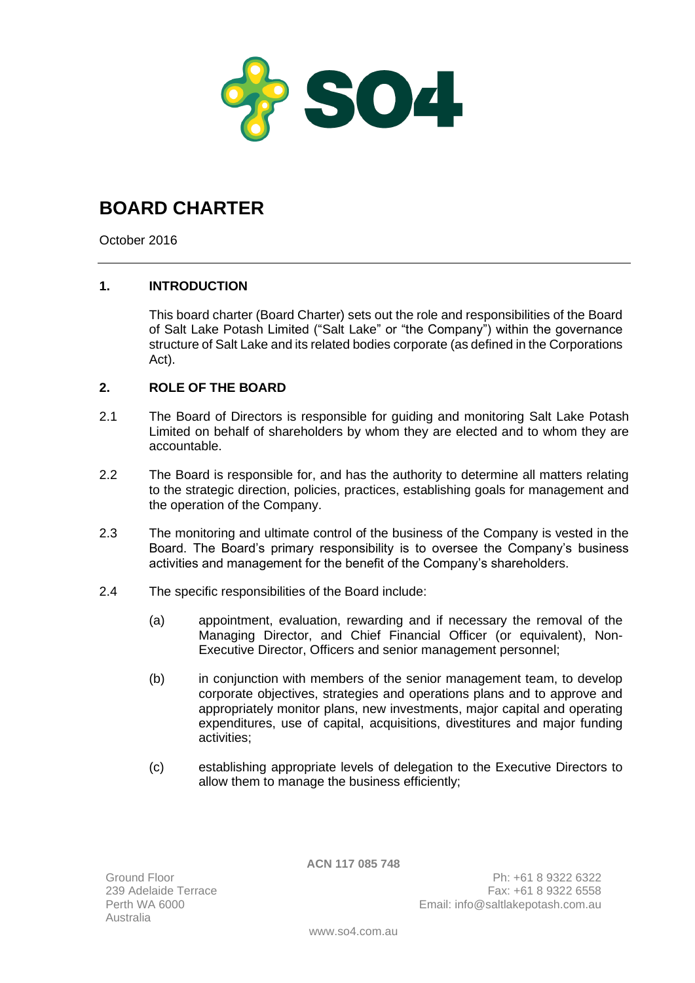

## **BOARD CHARTER**

October 2016

## **1. INTRODUCTION**

This board charter (Board Charter) sets out the role and responsibilities of the Board of Salt Lake Potash Limited ("Salt Lake" or "the Company") within the governance structure of Salt Lake and its related bodies corporate (as defined in the Corporations Act).

## **2. ROLE OF THE BOARD**

- 2.1 The Board of Directors is responsible for guiding and monitoring Salt Lake Potash Limited on behalf of shareholders by whom they are elected and to whom they are accountable.
- 2.2 The Board is responsible for, and has the authority to determine all matters relating to the strategic direction, policies, practices, establishing goals for management and the operation of the Company.
- 2.3 The monitoring and ultimate control of the business of the Company is vested in the Board. The Board's primary responsibility is to oversee the Company's business activities and management for the benefit of the Company's shareholders.
- 2.4 The specific responsibilities of the Board include:
	- (a) appointment, evaluation, rewarding and if necessary the removal of the Managing Director, and Chief Financial Officer (or equivalent), Non-Executive Director, Officers and senior management personnel;
	- (b) in conjunction with members of the senior management team, to develop corporate objectives, strategies and operations plans and to approve and appropriately monitor plans, new investments, major capital and operating expenditures, use of capital, acquisitions, divestitures and major funding activities;
	- (c) establishing appropriate levels of delegation to the Executive Directors to allow them to manage the business efficiently;

**ACN 117 085 748**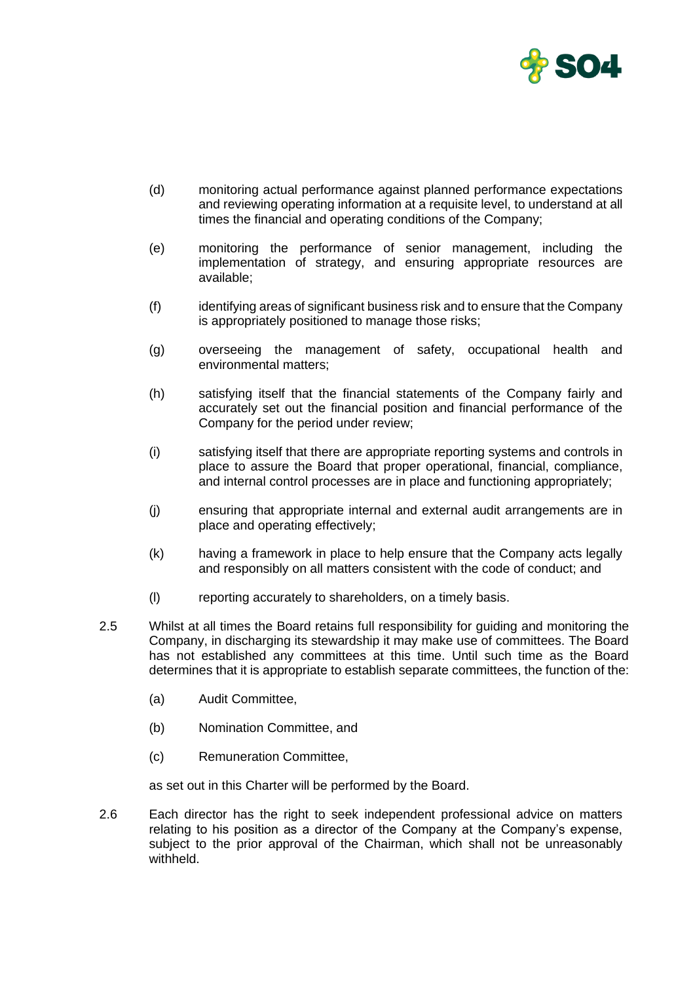

- (d) monitoring actual performance against planned performance expectations and reviewing operating information at a requisite level, to understand at all times the financial and operating conditions of the Company;
- (e) monitoring the performance of senior management, including the implementation of strategy, and ensuring appropriate resources are available;
- (f) identifying areas of significant business risk and to ensure that the Company is appropriately positioned to manage those risks;
- (g) overseeing the management of safety, occupational health and environmental matters;
- (h) satisfying itself that the financial statements of the Company fairly and accurately set out the financial position and financial performance of the Company for the period under review;
- (i) satisfying itself that there are appropriate reporting systems and controls in place to assure the Board that proper operational, financial, compliance, and internal control processes are in place and functioning appropriately;
- (j) ensuring that appropriate internal and external audit arrangements are in place and operating effectively;
- (k) having a framework in place to help ensure that the Company acts legally and responsibly on all matters consistent with the code of conduct; and
- (l) reporting accurately to shareholders, on a timely basis.
- 2.5 Whilst at all times the Board retains full responsibility for guiding and monitoring the Company, in discharging its stewardship it may make use of committees. The Board has not established any committees at this time. Until such time as the Board determines that it is appropriate to establish separate committees, the function of the:
	- (a) Audit Committee,
	- (b) Nomination Committee, and
	- (c) Remuneration Committee,

as set out in this Charter will be performed by the Board.

2.6 Each director has the right to seek independent professional advice on matters relating to his position as a director of the Company at the Company's expense, subject to the prior approval of the Chairman, which shall not be unreasonably withheld.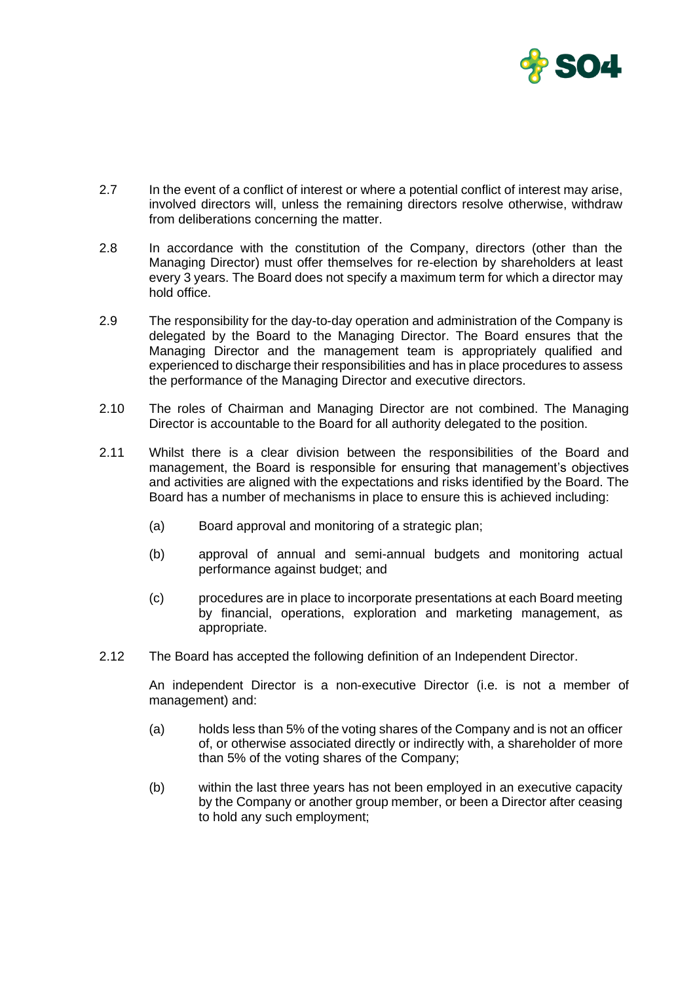

- 2.7 In the event of a conflict of interest or where a potential conflict of interest may arise, involved directors will, unless the remaining directors resolve otherwise, withdraw from deliberations concerning the matter.
- 2.8 In accordance with the constitution of the Company, directors (other than the Managing Director) must offer themselves for re-election by shareholders at least every 3 years. The Board does not specify a maximum term for which a director may hold office.
- 2.9 The responsibility for the day-to-day operation and administration of the Company is delegated by the Board to the Managing Director. The Board ensures that the Managing Director and the management team is appropriately qualified and experienced to discharge their responsibilities and has in place procedures to assess the performance of the Managing Director and executive directors.
- 2.10 The roles of Chairman and Managing Director are not combined. The Managing Director is accountable to the Board for all authority delegated to the position.
- 2.11 Whilst there is a clear division between the responsibilities of the Board and management, the Board is responsible for ensuring that management's objectives and activities are aligned with the expectations and risks identified by the Board. The Board has a number of mechanisms in place to ensure this is achieved including:
	- (a) Board approval and monitoring of a strategic plan;
	- (b) approval of annual and semi-annual budgets and monitoring actual performance against budget; and
	- (c) procedures are in place to incorporate presentations at each Board meeting by financial, operations, exploration and marketing management, as appropriate.
- 2.12 The Board has accepted the following definition of an Independent Director.

An independent Director is a non-executive Director (i.e. is not a member of management) and:

- (a) holds less than 5% of the voting shares of the Company and is not an officer of, or otherwise associated directly or indirectly with, a shareholder of more than 5% of the voting shares of the Company;
- (b) within the last three years has not been employed in an executive capacity by the Company or another group member, or been a Director after ceasing to hold any such employment;